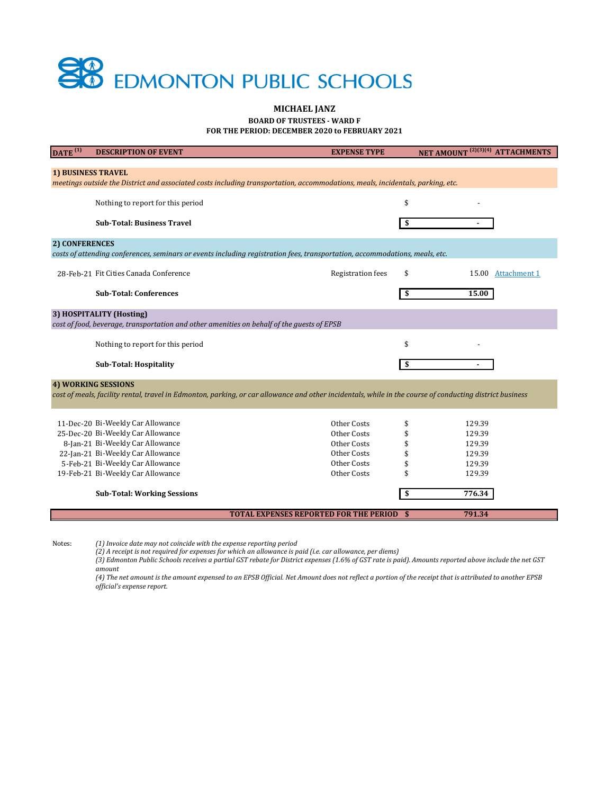# **SB** EDMONTON PUBLIC SCHOOLS

#### **BOARD OF TRUSTEES - WARD F MICHAEL JANZ FOR THE PERIOD: DECEMBER 2020 to FEBRUARY 2021**

| $\overline{DATE}^{(1)}$                                                                                                        | <b>DESCRIPTION OF EVENT</b>                                                                                                                              | <b>EXPENSE TYPE</b>                              | NET AMOUNT <sup>(2)(3)(4)</sup> ATTACHMENTS |
|--------------------------------------------------------------------------------------------------------------------------------|----------------------------------------------------------------------------------------------------------------------------------------------------------|--------------------------------------------------|---------------------------------------------|
|                                                                                                                                |                                                                                                                                                          |                                                  |                                             |
| <b>1) BUSINESS TRAVEL</b>                                                                                                      |                                                                                                                                                          |                                                  |                                             |
| meetings outside the District and associated costs including transportation, accommodations, meals, incidentals, parking, etc. |                                                                                                                                                          |                                                  |                                             |
|                                                                                                                                | Nothing to report for this period                                                                                                                        |                                                  | \$                                          |
|                                                                                                                                |                                                                                                                                                          |                                                  |                                             |
|                                                                                                                                | <b>Sub-Total: Business Travel</b>                                                                                                                        |                                                  | \$                                          |
|                                                                                                                                |                                                                                                                                                          |                                                  |                                             |
| 2) CONFERENCES                                                                                                                 |                                                                                                                                                          |                                                  |                                             |
|                                                                                                                                | costs of attending conferences, seminars or events including registration fees, transportation, accommodations, meals, etc.                              |                                                  |                                             |
|                                                                                                                                | 28-Feb-21 Fit Cities Canada Conference                                                                                                                   | <b>Registration</b> fees                         | \$<br>15.00 Attachment 1                    |
|                                                                                                                                |                                                                                                                                                          |                                                  |                                             |
|                                                                                                                                | <b>Sub-Total: Conferences</b>                                                                                                                            |                                                  | \$<br>15.00                                 |
|                                                                                                                                |                                                                                                                                                          |                                                  |                                             |
| 3) HOSPITALITY (Hosting)                                                                                                       |                                                                                                                                                          |                                                  |                                             |
| cost of food, beverage, transportation and other amenities on behalf of the guests of EPSB                                     |                                                                                                                                                          |                                                  |                                             |
|                                                                                                                                | Nothing to report for this period                                                                                                                        |                                                  | \$                                          |
|                                                                                                                                |                                                                                                                                                          |                                                  |                                             |
|                                                                                                                                | <b>Sub-Total: Hospitality</b>                                                                                                                            |                                                  | S                                           |
|                                                                                                                                | <b>4) WORKING SESSIONS</b>                                                                                                                               |                                                  |                                             |
|                                                                                                                                | cost of meals, facility rental, travel in Edmonton, parking, or car allowance and other incidentals, while in the course of conducting district business |                                                  |                                             |
|                                                                                                                                |                                                                                                                                                          |                                                  |                                             |
|                                                                                                                                |                                                                                                                                                          |                                                  |                                             |
|                                                                                                                                | 11-Dec-20 Bi-Weekly Car Allowance                                                                                                                        | Other Costs                                      | 129.39                                      |
|                                                                                                                                | 25-Dec-20 Bi-Weekly Car Allowance                                                                                                                        | Other Costs                                      | 129.39                                      |
|                                                                                                                                | 8-Jan-21 Bi-Weekly Car Allowance                                                                                                                         | Other Costs                                      | 129.39                                      |
|                                                                                                                                | 22-Jan-21 Bi-Weekly Car Allowance                                                                                                                        | Other Costs                                      | 129.39                                      |
|                                                                                                                                | 5-Feb-21 Bi-Weekly Car Allowance                                                                                                                         | Other Costs                                      | 129.39                                      |
|                                                                                                                                | 19-Feb-21 Bi-Weekly Car Allowance                                                                                                                        | Other Costs                                      | 129.39                                      |
|                                                                                                                                | <b>Sub-Total: Working Sessions</b>                                                                                                                       |                                                  | \$<br>776.34                                |
|                                                                                                                                |                                                                                                                                                          |                                                  |                                             |
|                                                                                                                                |                                                                                                                                                          | <b>TOTAL EXPENSES REPORTED FOR THE PERIOD \$</b> | 791.34                                      |
|                                                                                                                                |                                                                                                                                                          |                                                  |                                             |

Notes: *(1) Invoice date may not coincide with the expense reporting period*

*(2) A receipt is not required for expenses for which an allowance is paid (i.e. car allowance, per diems)*

*(3) Edmonton Public Schools receives a partial GST rebate for District expenses (1.6% of GST rate is paid). Amounts reported above include the net GST amount*

*(4) The net amount is the amount expensed to an EPSB Official. Net Amount does not reflect a portion of the receipt that is attributed to another EPSB official's expense report.*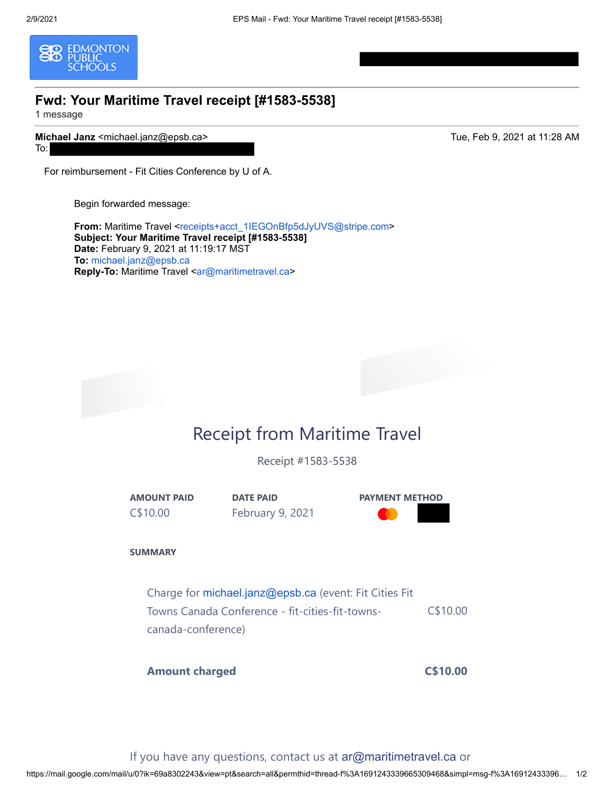<span id="page-1-0"></span>

#### **Fwd: Your Maritime Travel receipt [#1583-5538]**

1 message

**Michael Janz** <michael.janz@epsb.ca> Tue, Feb 9, 2021 at 11:28 AM To:

For reimbursement - Fit Cities Conference by U of A.

Begin forwarded message:

From: Maritime Travel <[receipts+acct\\_1IEGOnBfp5dJyUVS@stripe.com>](mailto:receipts+acct_1IEGOnBfp5dJyUVS@stripe.com) **Subject: Your Maritime Travel receipt [#1583-5538] Date:** February 9, 2021 at 11:19:17 MST **To:** [michael.janz@epsb.ca](mailto:michael.janz@epsb.ca) Reply-To: Maritime Travel [<ar@maritimetravel.ca>](mailto:ar@maritimetravel.ca)

## Receipt from Maritime Travel

Receipt #1583-5538

**AMOUNT PAID** C\$10.00

**DATE PAID** February 9, 2021



**SUMMARY**

Charge for [michael.janz@epsb.ca](mailto:michael.janz@epsb.ca) (event: Fit Cities Fit Towns Canada Conference - fit-cities-fit-townscanada-conference) C\$10.00

**Amount charged C\$10.00**

If you have any questions, contact us at [ar@maritimetravel.ca](mailto:ar@maritimetravel.ca) or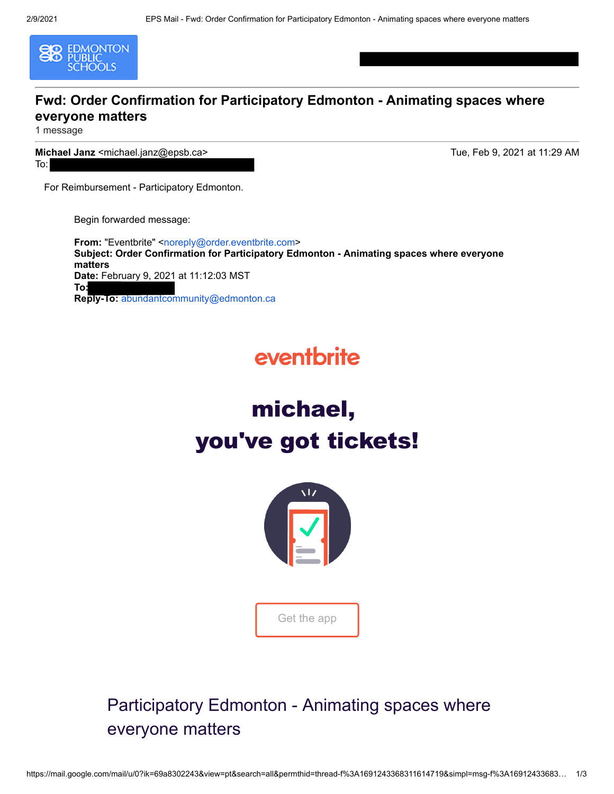

#### **Fwd: Order Confirmation for Participatory Edmonton - Animating spaces where everyone matters**

1 message

**Michael Janz** <michael.janz@epsb.ca> Tue, Feb 9, 2021 at 11:29 AM To:

For Reimbursement - Participatory Edmonton.

Begin forwarded message:

**From: "Eventbrite" [<noreply@order.eventbrite.com](mailto:noreply@order.eventbrite.com)> Subject: Order Confirmation for Participatory Edmonton - Animating spaces where everyone matters Date:** February 9, 2021 at 11:12:03 MST **To: Reply-To:** abundantcommunity@edmonton.ca

# eventbrite





## Participatory Edmonton - Animating spaces where everyone matters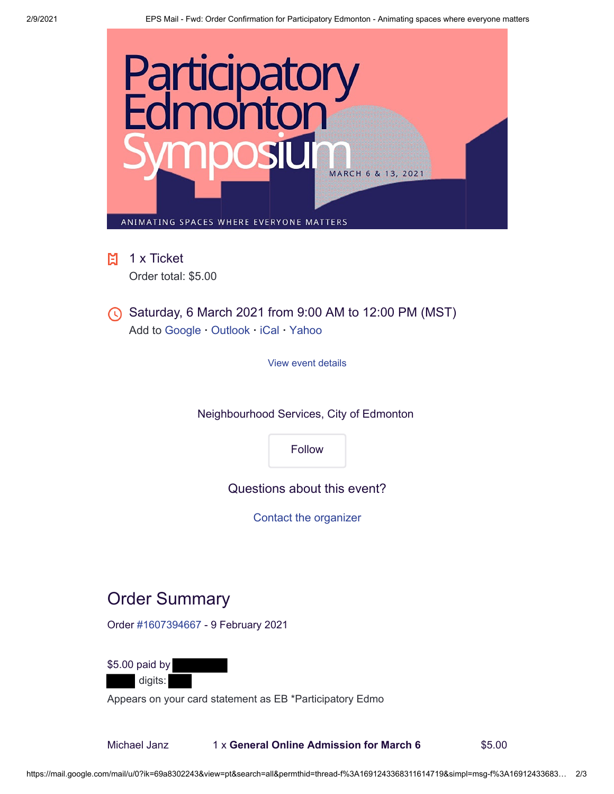

**日** 1 x Ticket Order total: \$5.00

Saturday, 6 March 2021 from 9:00 AM to 12:00 PM (MST) Add to [Google](https://www.eventbrite.com/calendar.ics?utm_campaign=order_confirm&utm_medium=email&ref=eemailordconf&eid=135926861903&utm_source=eventbrite&utm_term=googlecal&calendar=google) **·** [Outlook](https://www.eventbrite.com/calendar.ics?utm_campaign=order_confirm&utm_medium=email&ref=eemailordconf&eid=135926861903&utm_source=eventbrite&utm_term=outlook&calendar=outlook) **·** [iCal](https://www.eventbrite.com/calendar.ics?utm_campaign=order_confirm&utm_medium=email&ref=eemailordconf&eid=135926861903&utm_source=eventbrite&utm_term=ical&calendar=ical) **·** [Yahoo](https://www.eventbrite.com/calendar.ics?utm_campaign=order_confirm&utm_medium=email&ref=eemailordconf&eid=135926861903&utm_source=eventbrite&utm_term=yahoocal&calendar=yahoo)

[View event details](https://participatoryedmonton.eventbrite.ca/?aff=eemailordconf&utm_campaign=order_confirm&utm_medium=email&ref=eemailordconf&utm_source=eventbrite&utm_term=viewevent)

Neighbourhood Services, City of Edmonton

[Follow](https://www.eventbrite.ca/o/neighbourhood-services-city-of-edmonton-29843015969?utm_campaign=order_confirm&utm_medium=email&ref=eemailordconf&utm_source=eventbrite&utm_term=followorg)

Questions about this event?

[Contact the organizer](https://www.eventbrite.ca/mytickets/1607394667?utm_campaign=order_confirm&utm_medium=email&ref=eemailordconf&contact_organizer=1&utm_source=eventbrite&utm_term=contactorg)

## Order Summary

Order [#1607394667](https://www.eventbrite.ca/mytickets/1607394667?utm_campaign=order_confirm&utm_medium=email&ref=eemailordconf&utm_source=eventbrite&utm_term=orderid) - 9 February 2021

\$5.00 paid by digits:

Appears on your card statement as EB \*Participatory Edmo

Michael Janz 1 x **General Online Admission for March 6** \$5.00